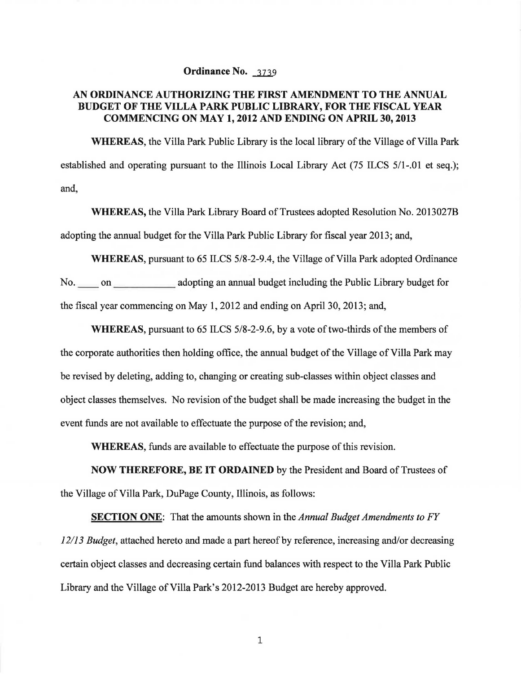## Ordinance No. 3739

## AN ORDINANCE AUTHORIZING THE FIRST AMENDMENT TO THE ANNUAL BUDGET OF THE VILLA PARK PUBLIC LIBRARY, FOR THE FISCAL YEAR COMMENCING ON MAY 1, 2012 AND ENDING ON APRIL 30,2013

WHEREAS, the Villa Park Public Library is the local library of the Village of Villa Park established and operating pursuant to the Illinois Local Library Act (75 ILCS 5/1-.01 et seq.); and,

WHEREAS, the Villa Park Library Board of Trustees adopted Resolution No. 2013027B adopting the annual budget for the Villa Park Public Library for fiscal year 2013; and,

WHEREAS, pursuant to 65 ILCS 5/8-2-9.4, the Village of Villa Park adopted Ordinance No. on adopting an annual budget including the Public Library budget for the fiscal year commencing on May 1, 2012 and ending on April30, 2013; and,

WHEREAS, pursuant to  $65$  ILCS  $5/8-2-9.6$ , by a vote of two-thirds of the members of the corporate authorities then holding office, the annual budget of the Village of Villa Park may be revised by deleting, adding to, changing or creating sub-classes within object classes and object classes themselves. No revision of the budget shall be made increasing the budget in the event funds are not available to effectuate the purpose of the revision; and,

WHEREAS, funds are available to effectuate the purpose of this revision.

NOW THEREFORE, BE IT ORDAINED by the President and Board of Trustees of the Village of Villa Park, DuPage County, Illinois, as follows:

SECTION ONE: That the amounts shown in the *Annual Budget Amendments to FY 12/13 Budget,* attached hereto and made a part hereof by reference, increasing and/or decreasing certain object classes and decreasing certain fund balances with respect to the Villa Park Public Library and the Village of Villa Park's 2012-2013 Budget are hereby approved.

1